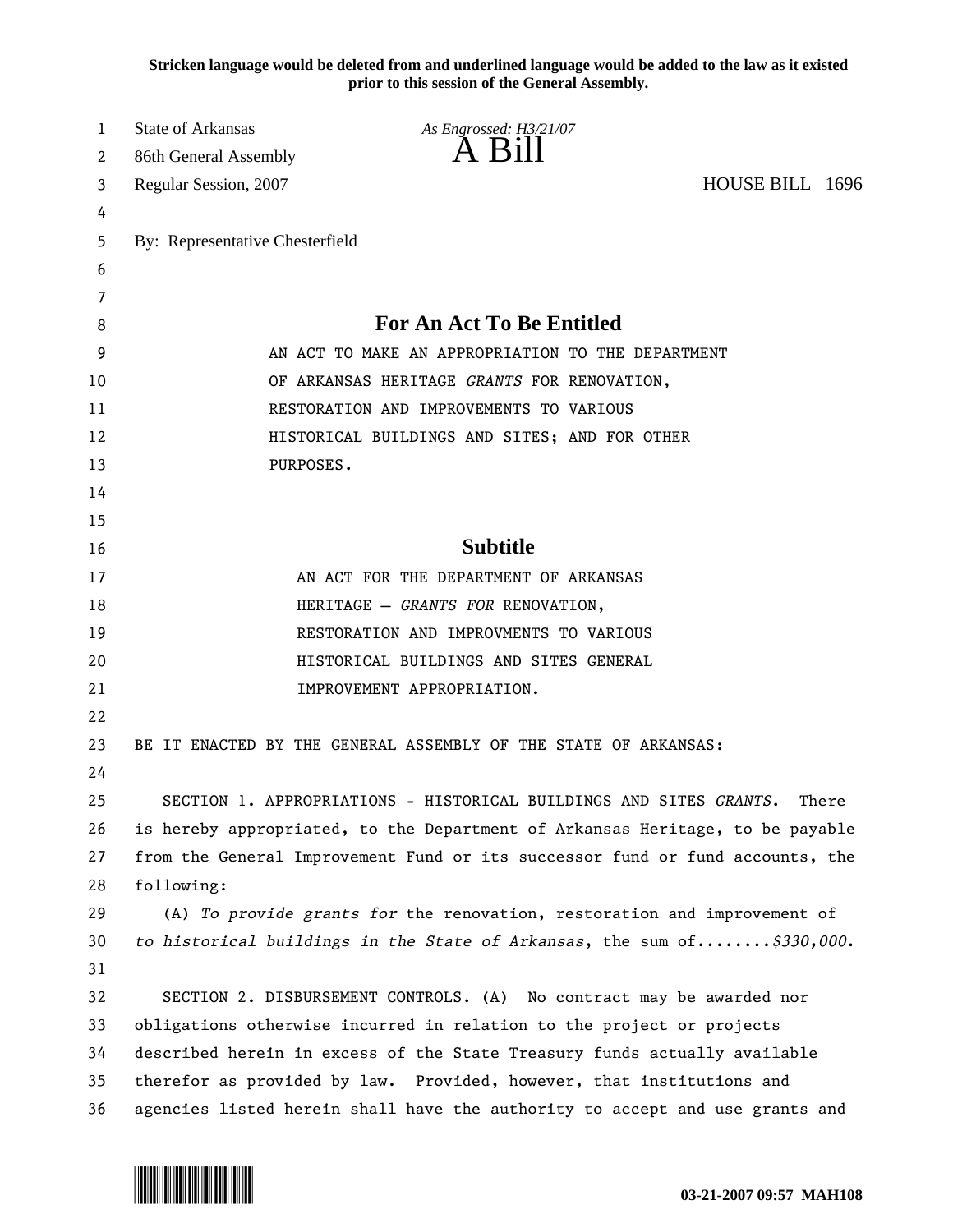**Stricken language would be deleted from and underlined language would be added to the law as it existed prior to this session of the General Assembly.**

| 1  | <b>State of Arkansas</b>                                                      | As Engrossed: H3/21/07                                                 |                 |
|----|-------------------------------------------------------------------------------|------------------------------------------------------------------------|-----------------|
| 2  | 86th General Assembly                                                         | A Bill                                                                 |                 |
| 3  | Regular Session, 2007                                                         |                                                                        | HOUSE BILL 1696 |
| 4  |                                                                               |                                                                        |                 |
| 5  | By: Representative Chesterfield                                               |                                                                        |                 |
| 6  |                                                                               |                                                                        |                 |
| 7  |                                                                               |                                                                        |                 |
| 8  | For An Act To Be Entitled                                                     |                                                                        |                 |
| 9  | AN ACT TO MAKE AN APPROPRIATION TO THE DEPARTMENT                             |                                                                        |                 |
| 10 | OF ARKANSAS HERITAGE GRANTS FOR RENOVATION,                                   |                                                                        |                 |
| 11 | RESTORATION AND IMPROVEMENTS TO VARIOUS                                       |                                                                        |                 |
| 12 | HISTORICAL BUILDINGS AND SITES; AND FOR OTHER                                 |                                                                        |                 |
| 13 | PURPOSES.                                                                     |                                                                        |                 |
| 14 |                                                                               |                                                                        |                 |
| 15 |                                                                               |                                                                        |                 |
| 16 |                                                                               | <b>Subtitle</b>                                                        |                 |
| 17 | AN ACT FOR THE DEPARTMENT OF ARKANSAS                                         |                                                                        |                 |
| 18 | HERITAGE - GRANTS FOR RENOVATION,                                             |                                                                        |                 |
| 19 |                                                                               | RESTORATION AND IMPROVMENTS TO VARIOUS                                 |                 |
| 20 |                                                                               | HISTORICAL BUILDINGS AND SITES GENERAL                                 |                 |
| 21 |                                                                               | IMPROVEMENT APPROPRIATION.                                             |                 |
| 22 |                                                                               |                                                                        |                 |
| 23 | BE IT ENACTED BY THE GENERAL ASSEMBLY OF THE STATE OF ARKANSAS:               |                                                                        |                 |
| 24 |                                                                               |                                                                        |                 |
| 25 | SECTION 1. APPROPRIATIONS - HISTORICAL BUILDINGS AND SITES GRANTS.<br>There   |                                                                        |                 |
| 26 | is hereby appropriated, to the Department of Arkansas Heritage, to be payable |                                                                        |                 |
| 27 | from the General Improvement Fund or its successor fund or fund accounts, the |                                                                        |                 |
| 28 | following:                                                                    |                                                                        |                 |
| 29 | (A) To provide grants for the renovation, restoration and improvement of      |                                                                        |                 |
| 30 |                                                                               | to historical buildings in the State of Arkansas, the sum of\$330,000. |                 |
| 31 |                                                                               |                                                                        |                 |
| 32 |                                                                               | SECTION 2. DISBURSEMENT CONTROLS. (A) No contract may be awarded nor   |                 |
| 33 | obligations otherwise incurred in relation to the project or projects         |                                                                        |                 |
| 34 | described herein in excess of the State Treasury funds actually available     |                                                                        |                 |
| 35 | therefor as provided by law. Provided, however, that institutions and         |                                                                        |                 |
| 36 | agencies listed herein shall have the authority to accept and use grants and  |                                                                        |                 |